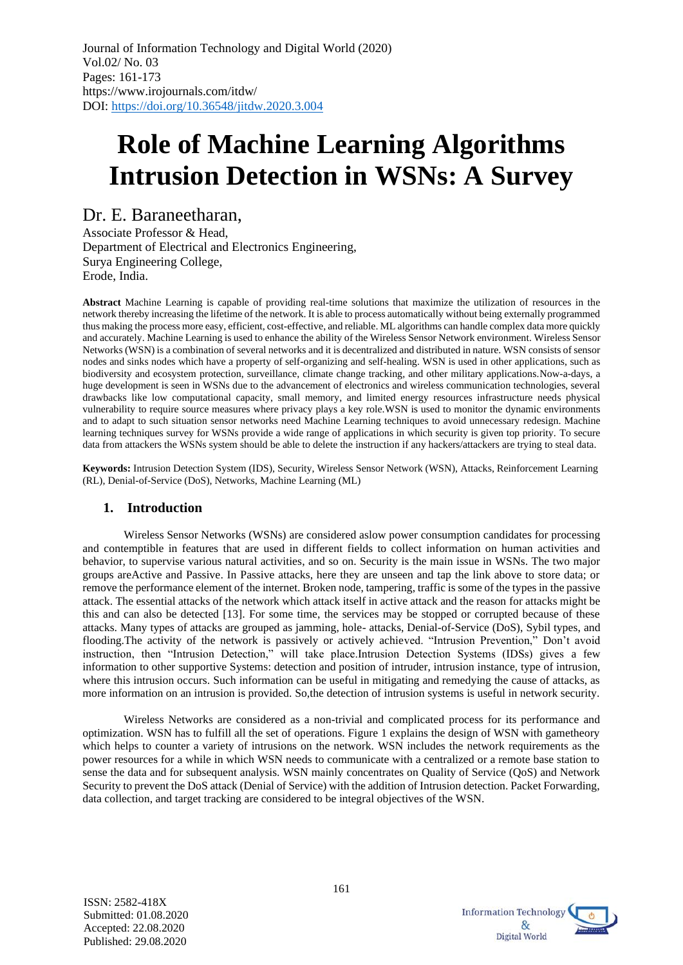# **Role of Machine Learning Algorithms Intrusion Detection in WSNs: A Survey**

## Dr. E. Baraneetharan,

Associate Professor & Head, Department of Electrical and Electronics Engineering, Surya Engineering College, Erode, India.

**Abstract** Machine Learning is capable of providing real-time solutions that maximize the utilization of resources in the network thereby increasing the lifetime of the network. It is able to process automatically without being externally programmed thus making the process more easy, efficient, cost-effective, and reliable. ML algorithms can handle complex data more quickly and accurately. Machine Learning is used to enhance the ability of the Wireless Sensor Network environment. Wireless Sensor Networks (WSN) is a combination of several networks and it is decentralized and distributed in nature. WSN consists of sensor nodes and sinks nodes which have a property of self-organizing and self-healing. WSN is used in other applications, such as biodiversity and ecosystem protection, surveillance, climate change tracking, and other military applications.Now-a-days, a huge development is seen in WSNs due to the advancement of electronics and wireless communication technologies, several drawbacks like low computational capacity, small memory, and limited energy resources infrastructure needs physical vulnerability to require source measures where privacy plays a key role.WSN is used to monitor the dynamic environments and to adapt to such situation sensor networks need Machine Learning techniques to avoid unnecessary redesign. Machine learning techniques survey for WSNs provide a wide range of applications in which security is given top priority. To secure data from attackers the WSNs system should be able to delete the instruction if any hackers/attackers are trying to steal data.

**Keywords:** Intrusion Detection System (IDS), Security, Wireless Sensor Network (WSN), Attacks, Reinforcement Learning (RL), Denial-of-Service (DoS), Networks, Machine Learning (ML)

## **1. Introduction**

Wireless Sensor Networks (WSNs) are considered aslow power consumption candidates for processing and contemptible in features that are used in different fields to collect information on human activities and behavior, to supervise various natural activities, and so on. Security is the main issue in WSNs. The two major groups areActive and Passive. In Passive attacks, here they are unseen and tap the link above to store data; or remove the performance element of the internet. Broken node, tampering, traffic is some of the types in the passive attack. The essential attacks of the network which attack itself in active attack and the reason for attacks might be this and can also be detected [13]. For some time, the services may be stopped or corrupted because of these attacks. Many types of attacks are grouped as jamming, hole- attacks, Denial-of-Service (DoS), Sybil types, and flooding.The activity of the network is passively or actively achieved. "Intrusion Prevention," Don't avoid instruction, then "Intrusion Detection," will take place.Intrusion Detection Systems (IDSs) gives a few information to other supportive Systems: detection and position of intruder, intrusion instance, type of intrusion, where this intrusion occurs. Such information can be useful in mitigating and remedying the cause of attacks, as more information on an intrusion is provided. So,the detection of intrusion systems is useful in network security.

Wireless Networks are considered as a non-trivial and complicated process for its performance and optimization. WSN has to fulfill all the set of operations. Figure 1 explains the design of WSN with gametheory which helps to counter a variety of intrusions on the network. WSN includes the network requirements as the power resources for a while in which WSN needs to communicate with a centralized or a remote base station to sense the data and for subsequent analysis. WSN mainly concentrates on Quality of Service (QoS) and Network Security to prevent the DoS attack (Denial of Service) with the addition of Intrusion detection. Packet Forwarding, data collection, and target tracking are considered to be integral objectives of the WSN.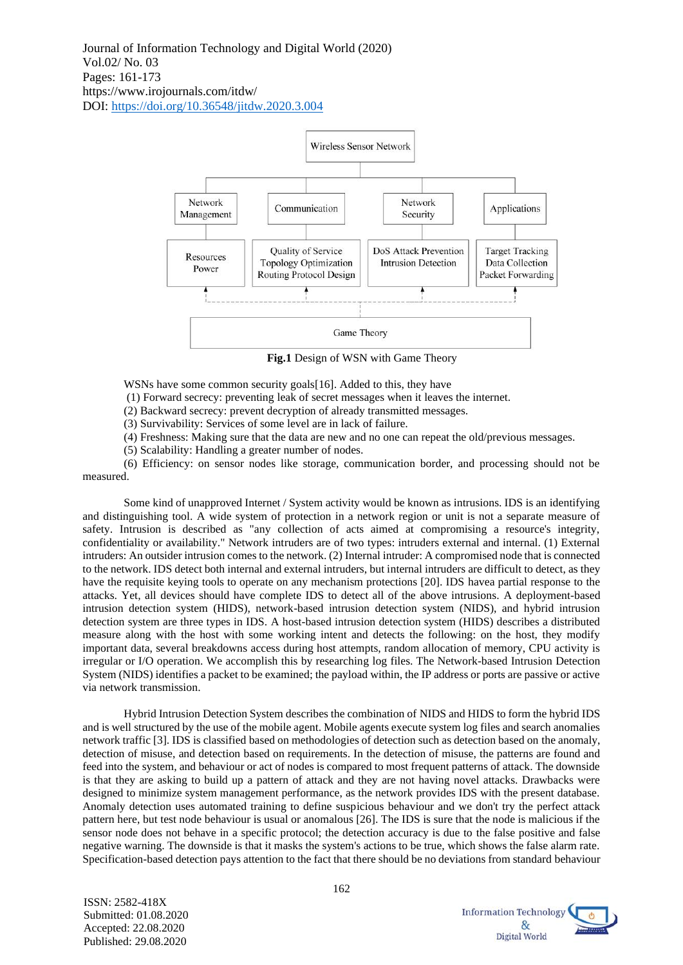

**Fig.1** Design of WSN with Game Theory

WSNs have some common security goals [16]. Added to this, they have

(1) Forward secrecy: preventing leak of secret messages when it leaves the internet.

(2) Backward secrecy: prevent decryption of already transmitted messages.

(3) Survivability: Services of some level are in lack of failure.

(4) Freshness: Making sure that the data are new and no one can repeat the old/previous messages.

(5) Scalability: Handling a greater number of nodes.

(6) Efficiency: on sensor nodes like storage, communication border, and processing should not be measured.

Some kind of unapproved Internet / System activity would be known as intrusions. IDS is an identifying and distinguishing tool. A wide system of protection in a network region or unit is not a separate measure of safety. Intrusion is described as "any collection of acts aimed at compromising a resource's integrity, confidentiality or availability." Network intruders are of two types: intruders external and internal. (1) External intruders: An outsider intrusion comes to the network. (2) Internal intruder: A compromised node that is connected to the network. IDS detect both internal and external intruders, but internal intruders are difficult to detect, as they have the requisite keying tools to operate on any mechanism protections [20]. IDS havea partial response to the attacks. Yet, all devices should have complete IDS to detect all of the above intrusions. A deployment-based intrusion detection system (HIDS), network-based intrusion detection system (NIDS), and hybrid intrusion detection system are three types in IDS. A host-based intrusion detection system (HIDS) describes a distributed measure along with the host with some working intent and detects the following: on the host, they modify important data, several breakdowns access during host attempts, random allocation of memory, CPU activity is irregular or I/O operation. We accomplish this by researching log files. The Network-based Intrusion Detection System (NIDS) identifies a packet to be examined; the payload within, the IP address or ports are passive or active via network transmission.

Hybrid Intrusion Detection System describes the combination of NIDS and HIDS to form the hybrid IDS and is well structured by the use of the mobile agent. Mobile agents execute system log files and search anomalies network traffic [3]. IDS is classified based on methodologies of detection such as detection based on the anomaly, detection of misuse, and detection based on requirements. In the detection of misuse, the patterns are found and feed into the system, and behaviour or act of nodes is compared to most frequent patterns of attack. The downside is that they are asking to build up a pattern of attack and they are not having novel attacks. Drawbacks were designed to minimize system management performance, as the network provides IDS with the present database. Anomaly detection uses automated training to define suspicious behaviour and we don't try the perfect attack pattern here, but test node behaviour is usual or anomalous [26]. The IDS is sure that the node is malicious if the sensor node does not behave in a specific protocol; the detection accuracy is due to the false positive and false negative warning. The downside is that it masks the system's actions to be true, which shows the false alarm rate. Specification-based detection pays attention to the fact that there should be no deviations from standard behaviour

> **Information Technology**  $\mathcal{R}_r$ Digital World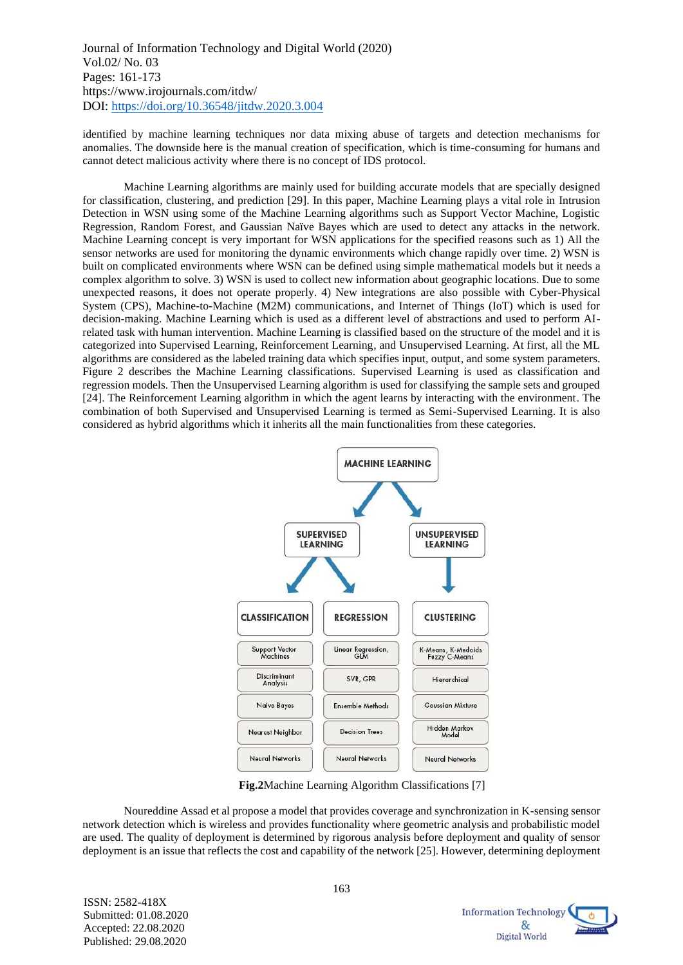identified by machine learning techniques nor data mixing abuse of targets and detection mechanisms for anomalies. The downside here is the manual creation of specification, which is time-consuming for humans and cannot detect malicious activity where there is no concept of IDS protocol.

Machine Learning algorithms are mainly used for building accurate models that are specially designed for classification, clustering, and prediction [29]. In this paper, Machine Learning plays a vital role in Intrusion Detection in WSN using some of the Machine Learning algorithms such as Support Vector Machine, Logistic Regression, Random Forest, and Gaussian Naïve Bayes which are used to detect any attacks in the network. Machine Learning concept is very important for WSN applications for the specified reasons such as 1) All the sensor networks are used for monitoring the dynamic environments which change rapidly over time. 2) WSN is built on complicated environments where WSN can be defined using simple mathematical models but it needs a complex algorithm to solve. 3) WSN is used to collect new information about geographic locations. Due to some unexpected reasons, it does not operate properly. 4) New integrations are also possible with Cyber-Physical System (CPS), Machine-to-Machine (M2M) communications, and Internet of Things (IoT) which is used for decision-making. Machine Learning which is used as a different level of abstractions and used to perform AIrelated task with human intervention. Machine Learning is classified based on the structure of the model and it is categorized into Supervised Learning, Reinforcement Learning, and Unsupervised Learning. At first, all the ML algorithms are considered as the labeled training data which specifies input, output, and some system parameters. Figure 2 describes the Machine Learning classifications. Supervised Learning is used as classification and regression models. Then the Unsupervised Learning algorithm is used for classifying the sample sets and grouped [24]. The Reinforcement Learning algorithm in which the agent learns by interacting with the environment. The combination of both Supervised and Unsupervised Learning is termed as Semi-Supervised Learning. It is also considered as hybrid algorithms which it inherits all the main functionalities from these categories.



**Fig.2**Machine Learning Algorithm Classifications [7]

Noureddine Assad et al propose a model that provides coverage and synchronization in K-sensing sensor network detection which is wireless and provides functionality where geometric analysis and probabilistic model are used. The quality of deployment is determined by rigorous analysis before deployment and quality of sensor deployment is an issue that reflects the cost and capability of the network [25]. However, determining deployment

> **Information Technology**  $<sup>d</sup>$ </sup>  $\mathcal{R}_{\mathcal{C}}$ Digital World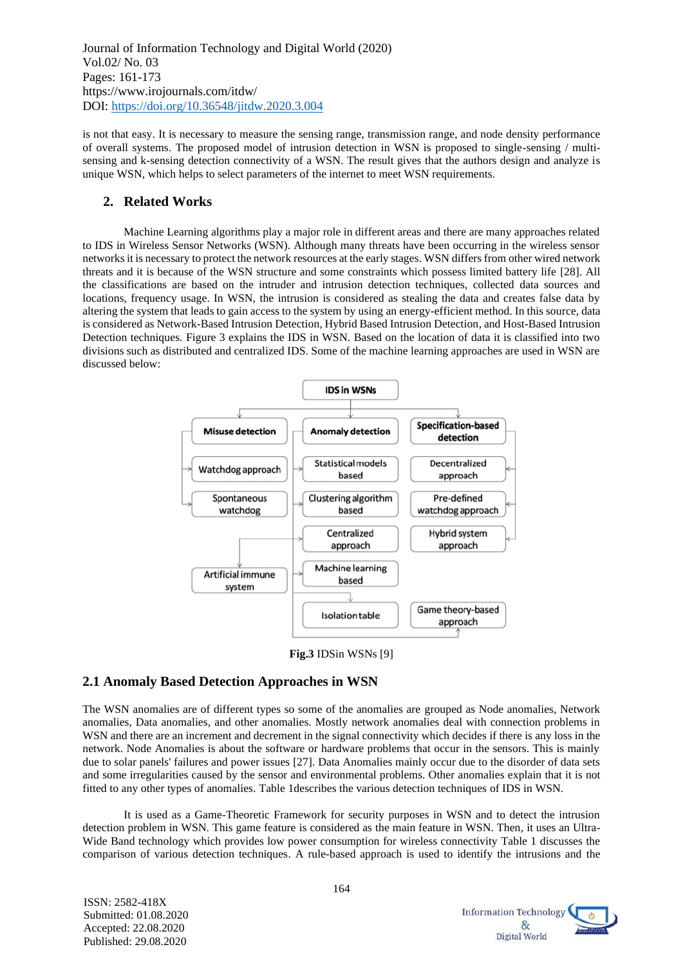is not that easy. It is necessary to measure the sensing range, transmission range, and node density performance of overall systems. The proposed model of intrusion detection in WSN is proposed to single-sensing / multisensing and k-sensing detection connectivity of a WSN. The result gives that the authors design and analyze is unique WSN, which helps to select parameters of the internet to meet WSN requirements.

## **2. Related Works**

Machine Learning algorithms play a major role in different areas and there are many approaches related to IDS in Wireless Sensor Networks (WSN). Although many threats have been occurring in the wireless sensor networks it is necessary to protect the network resources at the early stages. WSN differsfrom other wired network threats and it is because of the WSN structure and some constraints which possess limited battery life [28]. All the classifications are based on the intruder and intrusion detection techniques, collected data sources and locations, frequency usage. In WSN, the intrusion is considered as stealing the data and creates false data by altering the system that leads to gain access to the system by using an energy-efficient method. In this source, data is considered as Network-Based Intrusion Detection, Hybrid Based Intrusion Detection, and Host-Based Intrusion Detection techniques. Figure 3 explains the IDS in WSN. Based on the location of data it is classified into two divisions such as distributed and centralized IDS. Some of the machine learning approaches are used in WSN are discussed below:



**Fig.3** IDSin WSNs [9]

## **2.1 Anomaly Based Detection Approaches in WSN**

The WSN anomalies are of different types so some of the anomalies are grouped as Node anomalies, Network anomalies, Data anomalies, and other anomalies. Mostly network anomalies deal with connection problems in WSN and there are an increment and decrement in the signal connectivity which decides if there is any loss in the network. Node Anomalies is about the software or hardware problems that occur in the sensors. This is mainly due to solar panels' failures and power issues [27]. Data Anomalies mainly occur due to the disorder of data sets and some irregularities caused by the sensor and environmental problems. Other anomalies explain that it is not fitted to any other types of anomalies. Table 1describes the various detection techniques of IDS in WSN.

It is used as a Game-Theoretic Framework for security purposes in WSN and to detect the intrusion detection problem in WSN. This game feature is considered as the main feature in WSN. Then, it uses an Ultra-Wide Band technology which provides low power consumption for wireless connectivity Table 1 discusses the comparison of various detection techniques. A rule-based approach is used to identify the intrusions and the

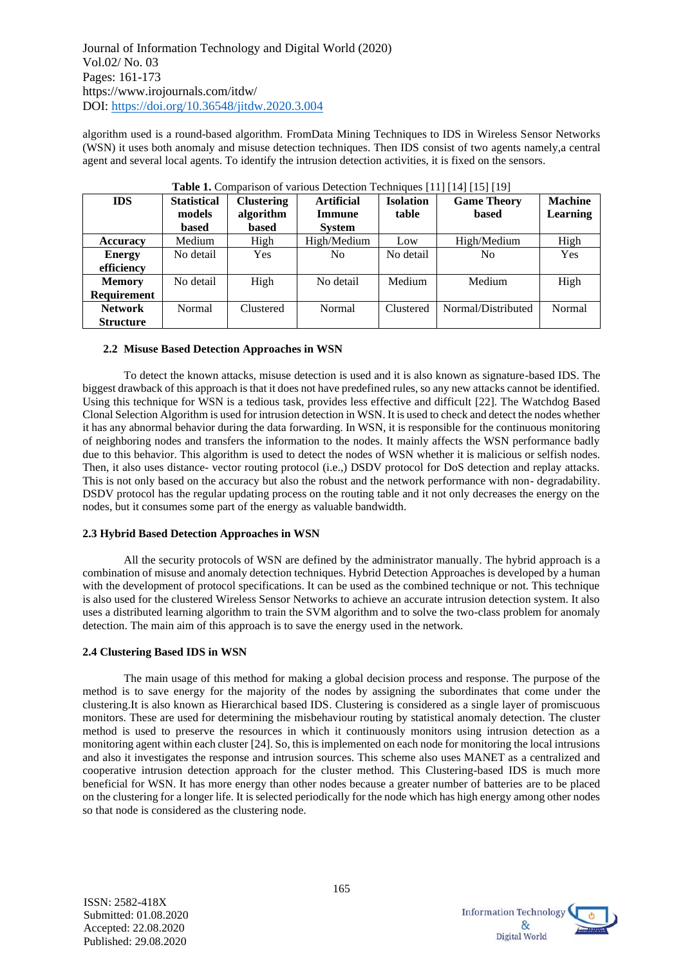algorithm used is a round-based algorithm. FromData Mining Techniques to IDS in Wireless Sensor Networks (WSN) it uses both anomaly and misuse detection techniques. Then IDS consist of two agents namely,a central agent and several local agents. To identify the intrusion detection activities, it is fixed on the sensors.

| <b>IDS</b>         | <b>Statistical</b> | <b>Clustering</b> | <b>Artificial</b> | <b>Isolation</b> | <b>Game Theory</b> | <b>Machine</b>  |  |  |  |
|--------------------|--------------------|-------------------|-------------------|------------------|--------------------|-----------------|--|--|--|
|                    | models             | algorithm         | Immune            | table            | <b>based</b>       | <b>Learning</b> |  |  |  |
|                    | based              | based             | <b>System</b>     |                  |                    |                 |  |  |  |
| <b>Accuracy</b>    | Medium             | High              | High/Medium       | Low              | High/Medium        | High            |  |  |  |
| <b>Energy</b>      | No detail          | Yes               | N <sub>0</sub>    | No detail        | No                 | Yes             |  |  |  |
| efficiency         |                    |                   |                   |                  |                    |                 |  |  |  |
| <b>Memory</b>      | No detail          | High              | No detail         | Medium           | Medium             | High            |  |  |  |
| <b>Requirement</b> |                    |                   |                   |                  |                    |                 |  |  |  |
| <b>Network</b>     | Normal             | Clustered         | Normal            | Clustered        | Normal/Distributed | Normal          |  |  |  |
| <b>Structure</b>   |                    |                   |                   |                  |                    |                 |  |  |  |

| Table 1. Comparison of various Detection Techniques [11] [14] [15] [19] |  |  |  |  |  |  |  |  |  |
|-------------------------------------------------------------------------|--|--|--|--|--|--|--|--|--|

### **2.2 Misuse Based Detection Approaches in WSN**

To detect the known attacks, misuse detection is used and it is also known as signature-based IDS. The biggest drawback of this approach is that it does not have predefined rules, so any new attacks cannot be identified. Using this technique for WSN is a tedious task, provides less effective and difficult [22]. The Watchdog Based Clonal Selection Algorithm is used for intrusion detection in WSN. It is used to check and detect the nodes whether it has any abnormal behavior during the data forwarding. In WSN, it is responsible for the continuous monitoring of neighboring nodes and transfers the information to the nodes. It mainly affects the WSN performance badly due to this behavior. This algorithm is used to detect the nodes of WSN whether it is malicious or selfish nodes. Then, it also uses distance- vector routing protocol (i.e.,) DSDV protocol for DoS detection and replay attacks. This is not only based on the accuracy but also the robust and the network performance with non- degradability. DSDV protocol has the regular updating process on the routing table and it not only decreases the energy on the nodes, but it consumes some part of the energy as valuable bandwidth.

#### **2.3 Hybrid Based Detection Approaches in WSN**

All the security protocols of WSN are defined by the administrator manually. The hybrid approach is a combination of misuse and anomaly detection techniques. Hybrid Detection Approaches is developed by a human with the development of protocol specifications. It can be used as the combined technique or not. This technique is also used for the clustered Wireless Sensor Networks to achieve an accurate intrusion detection system. It also uses a distributed learning algorithm to train the SVM algorithm and to solve the two-class problem for anomaly detection. The main aim of this approach is to save the energy used in the network.

#### **2.4 Clustering Based IDS in WSN**

The main usage of this method for making a global decision process and response. The purpose of the method is to save energy for the majority of the nodes by assigning the subordinates that come under the clustering.It is also known as Hierarchical based IDS. Clustering is considered as a single layer of promiscuous monitors. These are used for determining the misbehaviour routing by statistical anomaly detection. The cluster method is used to preserve the resources in which it continuously monitors using intrusion detection as a monitoring agent within each cluster [24]. So, this is implemented on each node for monitoring the local intrusions and also it investigates the response and intrusion sources. This scheme also uses MANET as a centralized and cooperative intrusion detection approach for the cluster method. This Clustering-based IDS is much more beneficial for WSN. It has more energy than other nodes because a greater number of batteries are to be placed on the clustering for a longer life. It is selected periodically for the node which has high energy among other nodes so that node is considered as the clustering node.



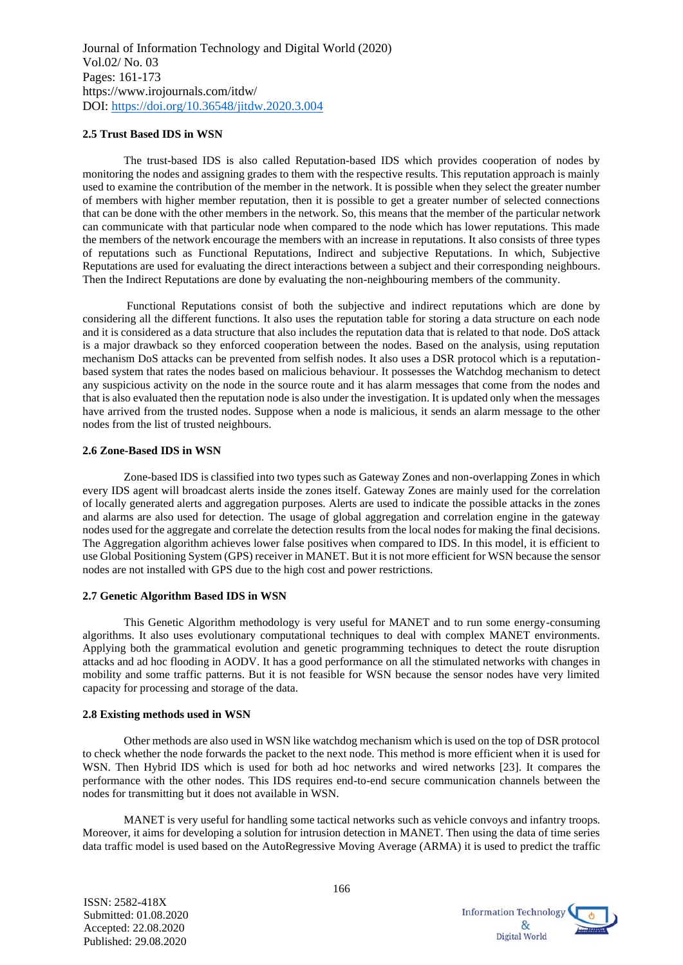#### **2.5 Trust Based IDS in WSN**

The trust-based IDS is also called Reputation-based IDS which provides cooperation of nodes by monitoring the nodes and assigning grades to them with the respective results. This reputation approach is mainly used to examine the contribution of the member in the network. It is possible when they select the greater number of members with higher member reputation, then it is possible to get a greater number of selected connections that can be done with the other members in the network. So, this means that the member of the particular network can communicate with that particular node when compared to the node which has lower reputations. This made the members of the network encourage the members with an increase in reputations. It also consists of three types of reputations such as Functional Reputations, Indirect and subjective Reputations. In which, Subjective Reputations are used for evaluating the direct interactions between a subject and their corresponding neighbours. Then the Indirect Reputations are done by evaluating the non-neighbouring members of the community.

Functional Reputations consist of both the subjective and indirect reputations which are done by considering all the different functions. It also uses the reputation table for storing a data structure on each node and it is considered as a data structure that also includes the reputation data that is related to that node. DoS attack is a major drawback so they enforced cooperation between the nodes. Based on the analysis, using reputation mechanism DoS attacks can be prevented from selfish nodes. It also uses a DSR protocol which is a reputationbased system that rates the nodes based on malicious behaviour. It possesses the Watchdog mechanism to detect any suspicious activity on the node in the source route and it has alarm messages that come from the nodes and that is also evaluated then the reputation node is also under the investigation. It is updated only when the messages have arrived from the trusted nodes. Suppose when a node is malicious, it sends an alarm message to the other nodes from the list of trusted neighbours.

#### **2.6 Zone-Based IDS in WSN**

Zone-based IDS is classified into two types such as Gateway Zones and non-overlapping Zones in which every IDS agent will broadcast alerts inside the zones itself. Gateway Zones are mainly used for the correlation of locally generated alerts and aggregation purposes. Alerts are used to indicate the possible attacks in the zones and alarms are also used for detection. The usage of global aggregation and correlation engine in the gateway nodes used for the aggregate and correlate the detection results from the local nodes for making the final decisions. The Aggregation algorithm achieves lower false positives when compared to IDS. In this model, it is efficient to use Global Positioning System (GPS) receiver in MANET. But it is not more efficient for WSN because the sensor nodes are not installed with GPS due to the high cost and power restrictions.

#### **2.7 Genetic Algorithm Based IDS in WSN**

This Genetic Algorithm methodology is very useful for MANET and to run some energy-consuming algorithms. It also uses evolutionary computational techniques to deal with complex MANET environments. Applying both the grammatical evolution and genetic programming techniques to detect the route disruption attacks and ad hoc flooding in AODV. It has a good performance on all the stimulated networks with changes in mobility and some traffic patterns. But it is not feasible for WSN because the sensor nodes have very limited capacity for processing and storage of the data.

#### **2.8 Existing methods used in WSN**

Other methods are also used in WSN like watchdog mechanism which is used on the top of DSR protocol to check whether the node forwards the packet to the next node. This method is more efficient when it is used for WSN. Then Hybrid IDS which is used for both ad hoc networks and wired networks [23]. It compares the performance with the other nodes. This IDS requires end-to-end secure communication channels between the nodes for transmitting but it does not available in WSN.

MANET is very useful for handling some tactical networks such as vehicle convoys and infantry troops. Moreover, it aims for developing a solution for intrusion detection in MANET. Then using the data of time series data traffic model is used based on the AutoRegressive Moving Average (ARMA) it is used to predict the traffic

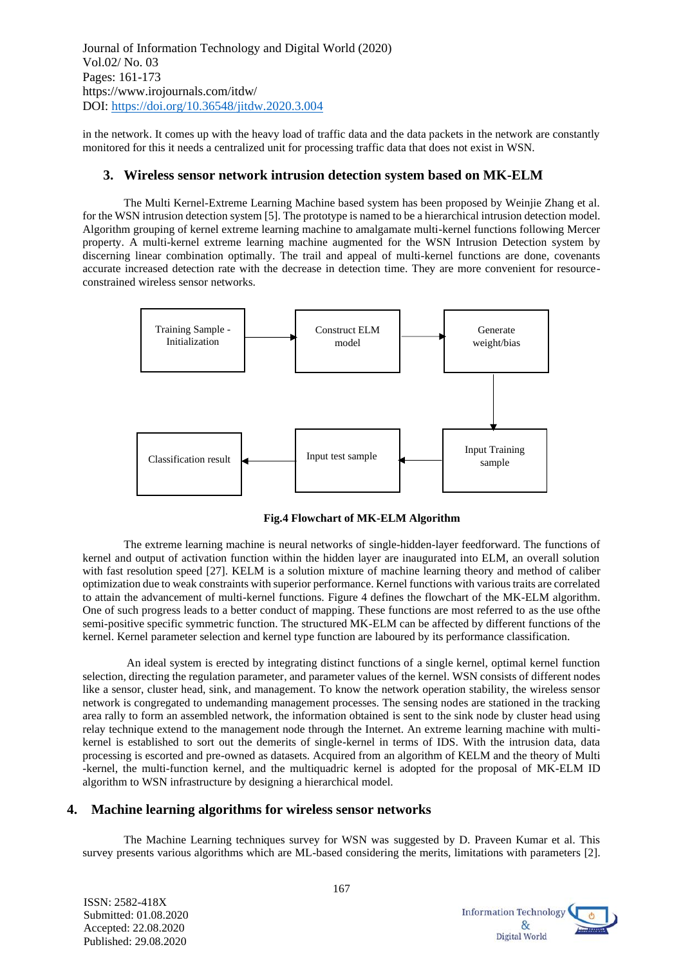in the network. It comes up with the heavy load of traffic data and the data packets in the network are constantly monitored for this it needs a centralized unit for processing traffic data that does not exist in WSN.

### **3. Wireless sensor network intrusion detection system based on MK-ELM**

The Multi Kernel-Extreme Learning Machine based system has been proposed by Weinjie Zhang et al. for the WSN intrusion detection system [5]. The prototype is named to be a hierarchical intrusion detection model. Algorithm grouping of kernel extreme learning machine to amalgamate multi-kernel functions following Mercer property. A multi-kernel extreme learning machine augmented for the WSN Intrusion Detection system by discerning linear combination optimally. The trail and appeal of multi-kernel functions are done, covenants accurate increased detection rate with the decrease in detection time. They are more convenient for resourceconstrained wireless sensor networks.



**Fig.4 Flowchart of MK-ELM Algorithm**

The extreme learning machine is neural networks of single-hidden-layer feedforward. The functions of kernel and output of activation function within the hidden layer are inaugurated into ELM, an overall solution with fast resolution speed [27]. KELM is a solution mixture of machine learning theory and method of caliber optimization due to weak constraints with superior performance. Kernel functions with various traits are correlated to attain the advancement of multi-kernel functions. Figure 4 defines the flowchart of the MK-ELM algorithm. One of such progress leads to a better conduct of mapping. These functions are most referred to as the use ofthe semi-positive specific symmetric function. The structured MK-ELM can be affected by different functions of the kernel. Kernel parameter selection and kernel type function are laboured by its performance classification.

An ideal system is erected by integrating distinct functions of a single kernel, optimal kernel function selection, directing the regulation parameter, and parameter values of the kernel. WSN consists of different nodes like a sensor, cluster head, sink, and management. To know the network operation stability, the wireless sensor network is congregated to undemanding management processes. The sensing nodes are stationed in the tracking area rally to form an assembled network, the information obtained is sent to the sink node by cluster head using relay technique extend to the management node through the Internet. An extreme learning machine with multikernel is established to sort out the demerits of single-kernel in terms of IDS. With the intrusion data, data processing is escorted and pre-owned as datasets. Acquired from an algorithm of KELM and the theory of Multi -kernel, the multi-function kernel, and the multiquadric kernel is adopted for the proposal of MK-ELM ID algorithm to WSN infrastructure by designing a hierarchical model.

## **4. Machine learning algorithms for wireless sensor networks**

The Machine Learning techniques survey for WSN was suggested by D. Praveen Kumar et al. This survey presents various algorithms which are ML-based considering the merits, limitations with parameters [2].

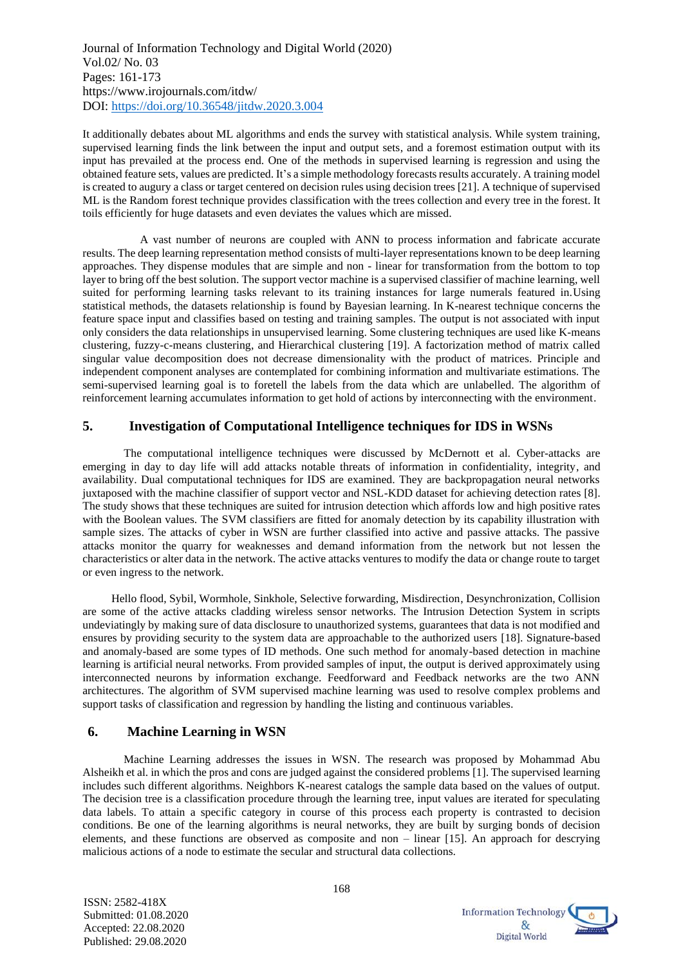It additionally debates about ML algorithms and ends the survey with statistical analysis. While system training, supervised learning finds the link between the input and output sets, and a foremost estimation output with its input has prevailed at the process end. One of the methods in supervised learning is regression and using the obtained feature sets, values are predicted. It's a simple methodology forecasts results accurately. A training model is created to augury a class or target centered on decision rules using decision trees [21]. A technique of supervised ML is the Random forest technique provides classification with the trees collection and every tree in the forest. It toils efficiently for huge datasets and even deviates the values which are missed.

 A vast number of neurons are coupled with ANN to process information and fabricate accurate results. The deep learning representation method consists of multi-layer representations known to be deep learning approaches. They dispense modules that are simple and non - linear for transformation from the bottom to top layer to bring off the best solution. The support vector machine is a supervised classifier of machine learning, well suited for performing learning tasks relevant to its training instances for large numerals featured in.Using statistical methods, the datasets relationship is found by Bayesian learning. In K-nearest technique concerns the feature space input and classifies based on testing and training samples. The output is not associated with input only considers the data relationships in unsupervised learning. Some clustering techniques are used like K-means clustering, fuzzy-c-means clustering, and Hierarchical clustering [19]. A factorization method of matrix called singular value decomposition does not decrease dimensionality with the product of matrices. Principle and independent component analyses are contemplated for combining information and multivariate estimations. The semi-supervised learning goal is to foretell the labels from the data which are unlabelled. The algorithm of reinforcement learning accumulates information to get hold of actions by interconnecting with the environment.

## **5. Investigation of Computational Intelligence techniques for IDS in WSNs**

The computational intelligence techniques were discussed by McDernott et al. Cyber-attacks are emerging in day to day life will add attacks notable threats of information in confidentiality, integrity, and availability. Dual computational techniques for IDS are examined. They are backpropagation neural networks juxtaposed with the machine classifier of support vector and NSL-KDD dataset for achieving detection rates [8]. The study shows that these techniques are suited for intrusion detection which affords low and high positive rates with the Boolean values. The SVM classifiers are fitted for anomaly detection by its capability illustration with sample sizes. The attacks of cyber in WSN are further classified into active and passive attacks. The passive attacks monitor the quarry for weaknesses and demand information from the network but not lessen the characteristics or alter data in the network. The active attacks ventures to modify the data or change route to target or even ingress to the network.

 Hello flood, Sybil, Wormhole, Sinkhole, Selective forwarding, Misdirection, Desynchronization, Collision are some of the active attacks cladding wireless sensor networks. The Intrusion Detection System in scripts undeviatingly by making sure of data disclosure to unauthorized systems, guarantees that data is not modified and ensures by providing security to the system data are approachable to the authorized users [18]. Signature-based and anomaly-based are some types of ID methods. One such method for anomaly-based detection in machine learning is artificial neural networks. From provided samples of input, the output is derived approximately using interconnected neurons by information exchange. Feedforward and Feedback networks are the two ANN architectures. The algorithm of SVM supervised machine learning was used to resolve complex problems and support tasks of classification and regression by handling the listing and continuous variables.

## **6. Machine Learning in WSN**

Machine Learning addresses the issues in WSN. The research was proposed by Mohammad Abu Alsheikh et al. in which the pros and cons are judged against the considered problems [1]. The supervised learning includes such different algorithms. Neighbors K-nearest catalogs the sample data based on the values of output. The decision tree is a classification procedure through the learning tree, input values are iterated for speculating data labels. To attain a specific category in course of this process each property is contrasted to decision conditions. Be one of the learning algorithms is neural networks, they are built by surging bonds of decision elements, and these functions are observed as composite and non – linear [15]. An approach for descrying malicious actions of a node to estimate the secular and structural data collections.

ISSN: 2582-418X Submitted: 01.08.2020 Accepted: 22.08.2020 Published: 29.08.2020

168

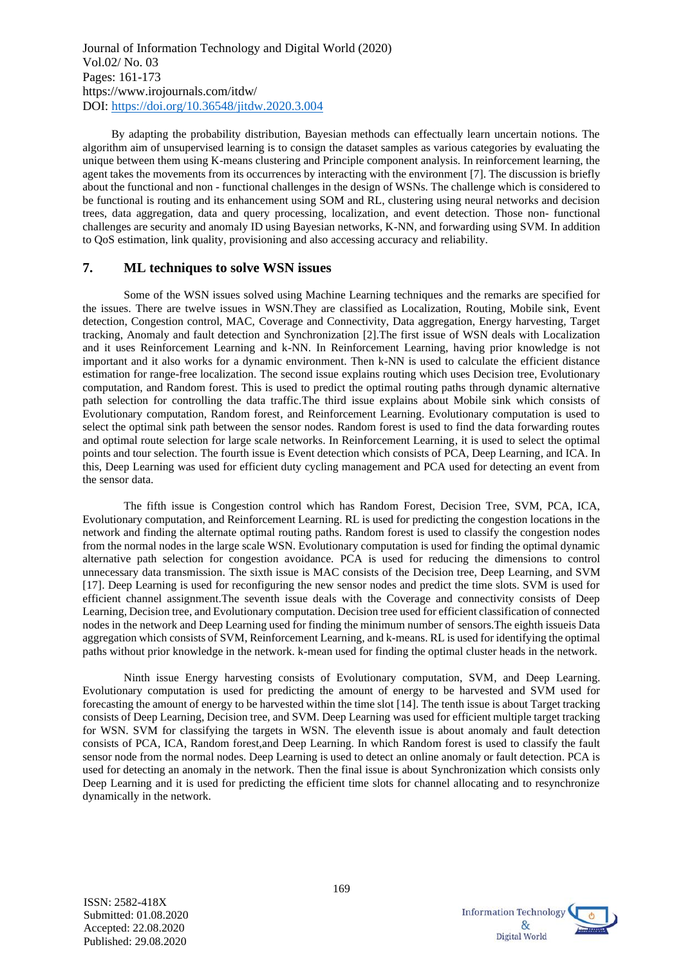By adapting the probability distribution, Bayesian methods can effectually learn uncertain notions. The algorithm aim of unsupervised learning is to consign the dataset samples as various categories by evaluating the unique between them using K-means clustering and Principle component analysis. In reinforcement learning, the agent takes the movements from its occurrences by interacting with the environment [7]. The discussion is briefly about the functional and non - functional challenges in the design of WSNs. The challenge which is considered to be functional is routing and its enhancement using SOM and RL, clustering using neural networks and decision trees, data aggregation, data and query processing, localization, and event detection. Those non- functional challenges are security and anomaly ID using Bayesian networks, K-NN, and forwarding using SVM. In addition to QoS estimation, link quality, provisioning and also accessing accuracy and reliability.

#### **7. ML techniques to solve WSN issues**

Some of the WSN issues solved using Machine Learning techniques and the remarks are specified for the issues. There are twelve issues in WSN.They are classified as Localization, Routing, Mobile sink, Event detection, Congestion control, MAC, Coverage and Connectivity, Data aggregation, Energy harvesting, Target tracking, Anomaly and fault detection and Synchronization [2].The first issue of WSN deals with Localization and it uses Reinforcement Learning and k-NN. In Reinforcement Learning, having prior knowledge is not important and it also works for a dynamic environment. Then k-NN is used to calculate the efficient distance estimation for range-free localization. The second issue explains routing which uses Decision tree, Evolutionary computation, and Random forest. This is used to predict the optimal routing paths through dynamic alternative path selection for controlling the data traffic.The third issue explains about Mobile sink which consists of Evolutionary computation, Random forest, and Reinforcement Learning. Evolutionary computation is used to select the optimal sink path between the sensor nodes. Random forest is used to find the data forwarding routes and optimal route selection for large scale networks. In Reinforcement Learning, it is used to select the optimal points and tour selection. The fourth issue is Event detection which consists of PCA, Deep Learning, and ICA. In this, Deep Learning was used for efficient duty cycling management and PCA used for detecting an event from the sensor data.

The fifth issue is Congestion control which has Random Forest, Decision Tree, SVM, PCA, ICA, Evolutionary computation, and Reinforcement Learning. RL is used for predicting the congestion locations in the network and finding the alternate optimal routing paths. Random forest is used to classify the congestion nodes from the normal nodes in the large scale WSN. Evolutionary computation is used for finding the optimal dynamic alternative path selection for congestion avoidance. PCA is used for reducing the dimensions to control unnecessary data transmission. The sixth issue is MAC consists of the Decision tree, Deep Learning, and SVM [17]. Deep Learning is used for reconfiguring the new sensor nodes and predict the time slots. SVM is used for efficient channel assignment.The seventh issue deals with the Coverage and connectivity consists of Deep Learning, Decision tree, and Evolutionary computation. Decision tree used for efficient classification of connected nodes in the network and Deep Learning used for finding the minimum number of sensors.The eighth issueis Data aggregation which consists of SVM, Reinforcement Learning, and k-means. RL is used for identifying the optimal paths without prior knowledge in the network. k-mean used for finding the optimal cluster heads in the network.

Ninth issue Energy harvesting consists of Evolutionary computation, SVM, and Deep Learning. Evolutionary computation is used for predicting the amount of energy to be harvested and SVM used for forecasting the amount of energy to be harvested within the time slot [14]. The tenth issue is about Target tracking consists of Deep Learning, Decision tree, and SVM. Deep Learning was used for efficient multiple target tracking for WSN. SVM for classifying the targets in WSN. The eleventh issue is about anomaly and fault detection consists of PCA, ICA, Random forest,and Deep Learning. In which Random forest is used to classify the fault sensor node from the normal nodes. Deep Learning is used to detect an online anomaly or fault detection. PCA is used for detecting an anomaly in the network. Then the final issue is about Synchronization which consists only Deep Learning and it is used for predicting the efficient time slots for channel allocating and to resynchronize dynamically in the network.

ISSN: 2582-418X Submitted: 01.08.2020 Accepted: 22.08.2020 Published: 29.08.2020

**Information Technology**  $\mathcal{R}_{r}$ Digital World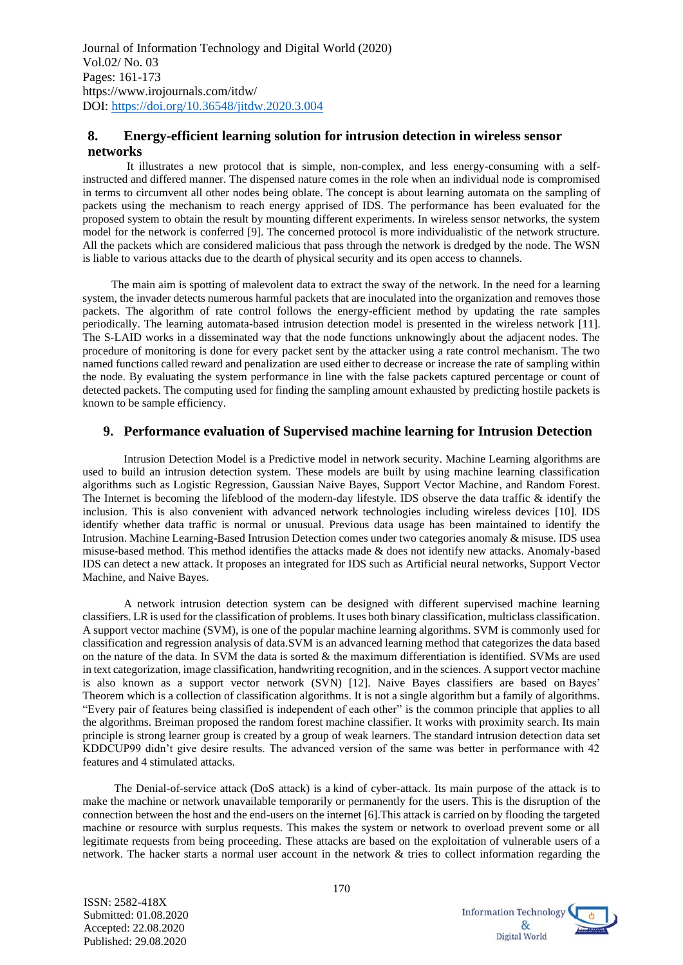## **8. Energy-efficient learning solution for intrusion detection in wireless sensor networks**

It illustrates a new protocol that is simple, non-complex, and less energy-consuming with a selfinstructed and differed manner. The dispensed nature comes in the role when an individual node is compromised in terms to circumvent all other nodes being oblate. The concept is about learning automata on the sampling of packets using the mechanism to reach energy apprised of IDS. The performance has been evaluated for the proposed system to obtain the result by mounting different experiments. In wireless sensor networks, the system model for the network is conferred [9]. The concerned protocol is more individualistic of the network structure. All the packets which are considered malicious that pass through the network is dredged by the node. The WSN is liable to various attacks due to the dearth of physical security and its open access to channels.

 The main aim is spotting of malevolent data to extract the sway of the network. In the need for a learning system, the invader detects numerous harmful packets that are inoculated into the organization and removes those packets. The algorithm of rate control follows the energy-efficient method by updating the rate samples periodically. The learning automata-based intrusion detection model is presented in the wireless network [11]. The S-LAID works in a disseminated way that the node functions unknowingly about the adjacent nodes. The procedure of monitoring is done for every packet sent by the attacker using a rate control mechanism. The two named functions called reward and penalization are used either to decrease or increase the rate of sampling within the node. By evaluating the system performance in line with the false packets captured percentage or count of detected packets. The computing used for finding the sampling amount exhausted by predicting hostile packets is known to be sample efficiency.

## **9. Performance evaluation of Supervised machine learning for Intrusion Detection**

Intrusion Detection Model is a Predictive model in network security. Machine Learning algorithms are used to build an intrusion detection system. These models are built by using machine learning classification algorithms such as Logistic Regression, Gaussian Naive Bayes, Support Vector Machine, and Random Forest. The Internet is becoming the lifeblood of the modern-day lifestyle. IDS observe the data traffic & identify the inclusion. This is also convenient with advanced network technologies including wireless devices [10]. IDS identify whether data traffic is normal or unusual. Previous data usage has been maintained to identify the Intrusion. Machine Learning-Based Intrusion Detection comes under two categories anomaly & misuse. IDS usea misuse-based method. This method identifies the attacks made & does not identify new attacks. Anomaly-based IDS can detect a new attack. It proposes an integrated for IDS such as Artificial neural networks, Support Vector Machine, and Naive Bayes.

A network intrusion detection system can be designed with different supervised machine learning classifiers. LR is used for the classification of problems. It uses both binary classification, multiclass classification. A support vector machine (SVM), is one of the popular machine learning algorithms. SVM is commonly used for classification and regression analysis of data.SVM is an advanced learning method that categorizes the data based on the nature of the data. In SVM the data is sorted  $\&$  the maximum differentiation is identified. SVMs are used in text categorization, image classification, handwriting recognition, and in the sciences. A support vector machine is also known as a support vector network (SVN) [12]. Naive Bayes classifiers are based on Bayes' Theorem which is a collection of classification algorithms. It is not a single algorithm but a family of algorithms. "Every pair of features being classified is independent of each other" is the common principle that applies to all the algorithms. Breiman proposed the random forest machine classifier. It works with proximity search. Its main principle is strong learner group is created by a group of weak learners. The standard intrusion detection data set KDDCUP99 didn't give desire results. The advanced version of the same was better in performance with 42 features and 4 stimulated attacks.

 The Denial-of-service attack (DoS attack) is a kind of cyber-attack. Its main purpose of the attack is to make the machine or network unavailable temporarily or permanently for the users. This is the disruption of the connection between the host and the end-users on the internet [6].This attack is carried on by flooding the targeted machine or resource with surplus requests. This makes the system or network to overload prevent some or all legitimate requests from being proceeding. These attacks are based on the exploitation of vulnerable users of a network. The hacker starts a normal user account in the network & tries to collect information regarding the

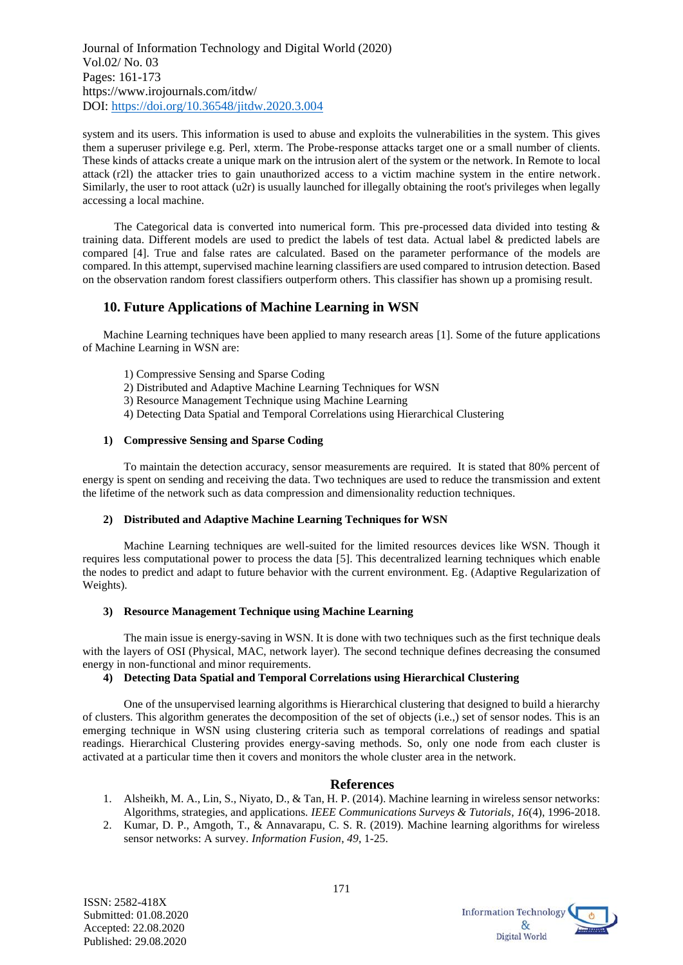system and its users. This information is used to abuse and exploits the vulnerabilities in the system. This gives them a superuser privilege e.g. Perl, xterm. The Probe-response attacks target one or a small number of clients. These kinds of attacks create a unique mark on the intrusion alert of the system or the network. In Remote to local attack (r2l) the attacker tries to gain unauthorized access to a victim machine system in the entire network. Similarly, the user to root attack (u2r) is usually launched for illegally obtaining the root's privileges when legally accessing a local machine.

 The Categorical data is converted into numerical form. This pre-processed data divided into testing & training data. Different models are used to predict the labels of test data. Actual label & predicted labels are compared [4]. True and false rates are calculated. Based on the parameter performance of the models are compared. In this attempt, supervised machine learning classifiers are used compared to intrusion detection. Based on the observation random forest classifiers outperform others. This classifier has shown up a promising result.

## **10. Future Applications of Machine Learning in WSN**

Machine Learning techniques have been applied to many research areas [1]. Some of the future applications of Machine Learning in WSN are:

- 1) Compressive Sensing and Sparse Coding
- 2) Distributed and Adaptive Machine Learning Techniques for WSN
- 3) Resource Management Technique using Machine Learning
- 4) Detecting Data Spatial and Temporal Correlations using Hierarchical Clustering

#### **1) Compressive Sensing and Sparse Coding**

To maintain the detection accuracy, sensor measurements are required. It is stated that 80% percent of energy is spent on sending and receiving the data. Two techniques are used to reduce the transmission and extent the lifetime of the network such as data compression and dimensionality reduction techniques.

#### **2) Distributed and Adaptive Machine Learning Techniques for WSN**

Machine Learning techniques are well-suited for the limited resources devices like WSN. Though it requires less computational power to process the data [5]. This decentralized learning techniques which enable the nodes to predict and adapt to future behavior with the current environment. Eg. (Adaptive Regularization of Weights).

#### **3) Resource Management Technique using Machine Learning**

The main issue is energy-saving in WSN. It is done with two techniques such as the first technique deals with the layers of OSI (Physical, MAC, network layer). The second technique defines decreasing the consumed energy in non-functional and minor requirements.

#### **4) Detecting Data Spatial and Temporal Correlations using Hierarchical Clustering**

One of the unsupervised learning algorithms is Hierarchical clustering that designed to build a hierarchy of clusters. This algorithm generates the decomposition of the set of objects (i.e.,) set of sensor nodes. This is an emerging technique in WSN using clustering criteria such as temporal correlations of readings and spatial readings. Hierarchical Clustering provides energy-saving methods. So, only one node from each cluster is activated at a particular time then it covers and monitors the whole cluster area in the network.

## **References**

- 1. Alsheikh, M. A., Lin, S., Niyato, D., & Tan, H. P. (2014). Machine learning in wireless sensor networks: Algorithms, strategies, and applications. *IEEE Communications Surveys & Tutorials*, *16*(4), 1996-2018.
- 2. Kumar, D. P., Amgoth, T., & Annavarapu, C. S. R. (2019). Machine learning algorithms for wireless sensor networks: A survey. *Information Fusion*, *49*, 1-25.

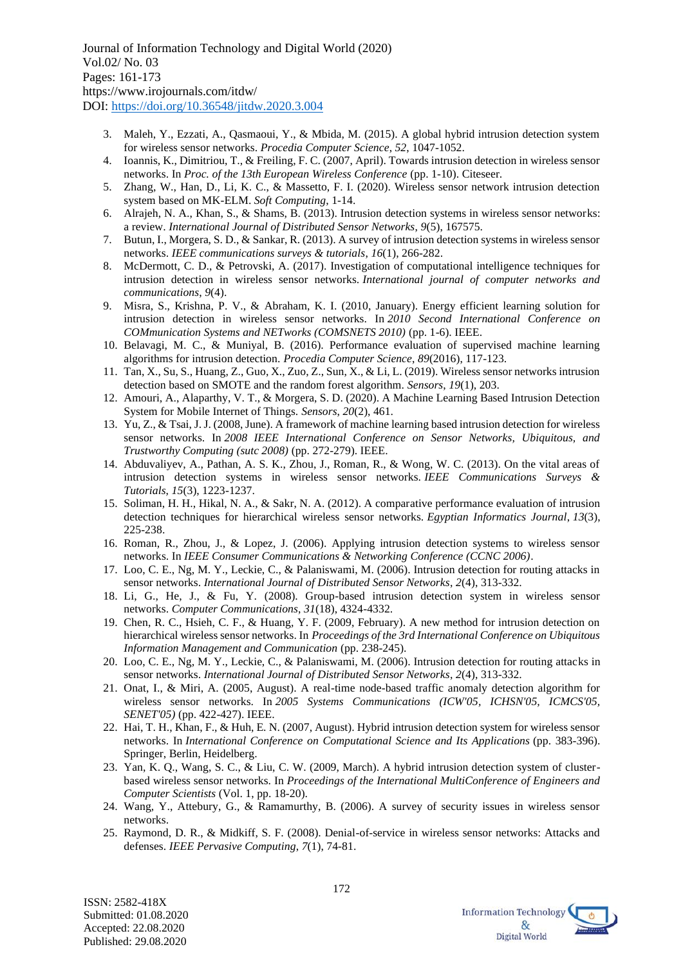- 3. Maleh, Y., Ezzati, A., Qasmaoui, Y., & Mbida, M. (2015). A global hybrid intrusion detection system for wireless sensor networks. *Procedia Computer Science*, *52*, 1047-1052.
- 4. Ioannis, K., Dimitriou, T., & Freiling, F. C. (2007, April). Towards intrusion detection in wireless sensor networks. In *Proc. of the 13th European Wireless Conference* (pp. 1-10). Citeseer.
- 5. Zhang, W., Han, D., Li, K. C., & Massetto, F. I. (2020). Wireless sensor network intrusion detection system based on MK-ELM. *Soft Computing*, 1-14.
- 6. Alrajeh, N. A., Khan, S., & Shams, B. (2013). Intrusion detection systems in wireless sensor networks: a review. *International Journal of Distributed Sensor Networks*, *9*(5), 167575.
- 7. Butun, I., Morgera, S. D., & Sankar, R. (2013). A survey of intrusion detection systems in wireless sensor networks. *IEEE communications surveys & tutorials*, *16*(1), 266-282.
- 8. McDermott, C. D., & Petrovski, A. (2017). Investigation of computational intelligence techniques for intrusion detection in wireless sensor networks. *International journal of computer networks and communications*, *9*(4).
- 9. Misra, S., Krishna, P. V., & Abraham, K. I. (2010, January). Energy efficient learning solution for intrusion detection in wireless sensor networks. In *2010 Second International Conference on COMmunication Systems and NETworks (COMSNETS 2010)* (pp. 1-6). IEEE.
- 10. Belavagi, M. C., & Muniyal, B. (2016). Performance evaluation of supervised machine learning algorithms for intrusion detection. *Procedia Computer Science*, *89*(2016), 117-123.
- 11. Tan, X., Su, S., Huang, Z., Guo, X., Zuo, Z., Sun, X., & Li, L. (2019). Wireless sensor networks intrusion detection based on SMOTE and the random forest algorithm. *Sensors*, *19*(1), 203.
- 12. Amouri, A., Alaparthy, V. T., & Morgera, S. D. (2020). A Machine Learning Based Intrusion Detection System for Mobile Internet of Things. *Sensors*, *20*(2), 461.
- 13. Yu, Z., & Tsai, J. J. (2008, June). A framework of machine learning based intrusion detection for wireless sensor networks. In *2008 IEEE International Conference on Sensor Networks, Ubiquitous, and Trustworthy Computing (sutc 2008)* (pp. 272-279). IEEE.
- 14. Abduvaliyev, A., Pathan, A. S. K., Zhou, J., Roman, R., & Wong, W. C. (2013). On the vital areas of intrusion detection systems in wireless sensor networks. *IEEE Communications Surveys & Tutorials*, *15*(3), 1223-1237.
- 15. Soliman, H. H., Hikal, N. A., & Sakr, N. A. (2012). A comparative performance evaluation of intrusion detection techniques for hierarchical wireless sensor networks. *Egyptian Informatics Journal*, *13*(3), 225-238.
- 16. Roman, R., Zhou, J., & Lopez, J. (2006). Applying intrusion detection systems to wireless sensor networks. In *IEEE Consumer Communications & Networking Conference (CCNC 2006)*.
- 17. Loo, C. E., Ng, M. Y., Leckie, C., & Palaniswami, M. (2006). Intrusion detection for routing attacks in sensor networks. *International Journal of Distributed Sensor Networks*, *2*(4), 313-332.
- 18. Li, G., He, J., & Fu, Y. (2008). Group-based intrusion detection system in wireless sensor networks. *Computer Communications*, *31*(18), 4324-4332.
- 19. Chen, R. C., Hsieh, C. F., & Huang, Y. F. (2009, February). A new method for intrusion detection on hierarchical wireless sensor networks. In *Proceedings of the 3rd International Conference on Ubiquitous Information Management and Communication* (pp. 238-245).
- 20. Loo, C. E., Ng, M. Y., Leckie, C., & Palaniswami, M. (2006). Intrusion detection for routing attacks in sensor networks. *International Journal of Distributed Sensor Networks*, *2*(4), 313-332.
- 21. Onat, I., & Miri, A. (2005, August). A real-time node-based traffic anomaly detection algorithm for wireless sensor networks. In *2005 Systems Communications (ICW'05, ICHSN'05, ICMCS'05, SENET'05)* (pp. 422-427). IEEE.
- 22. Hai, T. H., Khan, F., & Huh, E. N. (2007, August). Hybrid intrusion detection system for wireless sensor networks. In *International Conference on Computational Science and Its Applications* (pp. 383-396). Springer, Berlin, Heidelberg.
- 23. Yan, K. Q., Wang, S. C., & Liu, C. W. (2009, March). A hybrid intrusion detection system of clusterbased wireless sensor networks. In *Proceedings of the International MultiConference of Engineers and Computer Scientists* (Vol. 1, pp. 18-20).
- 24. Wang, Y., Attebury, G., & Ramamurthy, B. (2006). A survey of security issues in wireless sensor networks.
- 25. Raymond, D. R., & Midkiff, S. F. (2008). Denial-of-service in wireless sensor networks: Attacks and defenses. *IEEE Pervasive Computing*, *7*(1), 74-81.